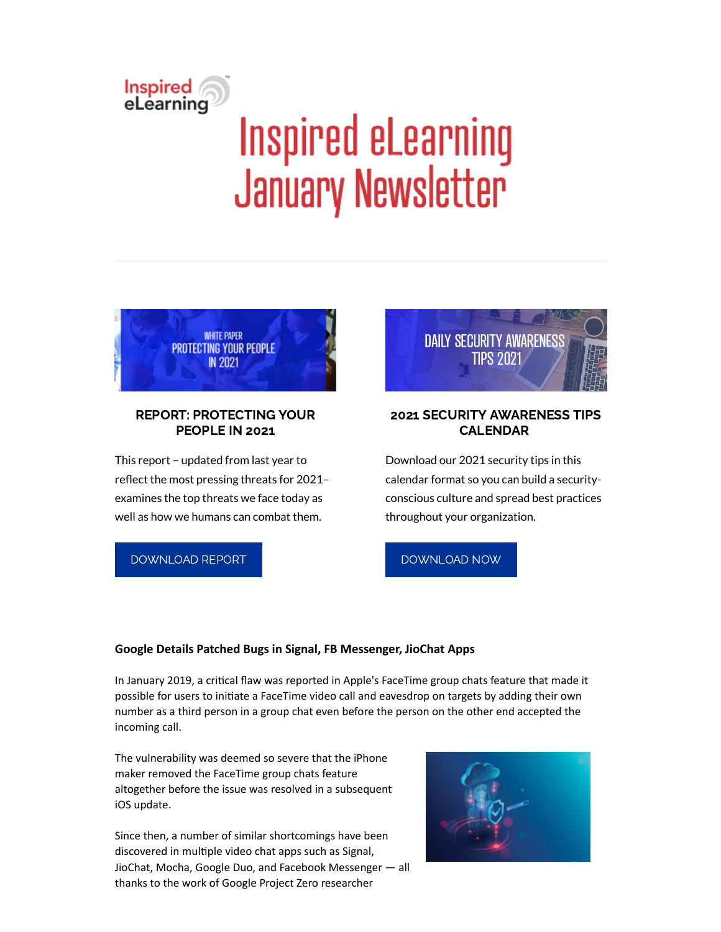# Inspired<br>eLearning Inspired eLearning January Newsletter



# REPORT: PROTECTING YOUR PEOPLE IN 2021

This report – updated from last year to reflect the most pressing threats for 2021examines the top threats we face today as well as how we humans can combat them.

[DOWNLOAD](https://inspiredelearning.com/resource/protecting-your-people-in-2021/) REPORT



# 2021 SECURITY AWARENESS TIPS CALENDAR

Download our 2021 security tips in this calendar format so you can build a securityconscious culture and spread best practices throughout your organization.



### **Google Details Patched Bugs in Signal, FB Messenger, JioChat Apps**

In January 2019, a critical flaw was reported in Apple's FaceTime group chats feature that made it possible for users to initiate a FaceTime video call and eavesdrop on targets by adding their own number as a third person in a group chat even before the person on the other end accepted the incoming call.

The vulnerability was deemed so severe that the iPhone maker removed the FaceTime group chats feature altogether before the issue was resolved in a subsequent iOS update.

Since then, a number of similar shortcomings have been discovered in multiple video chat apps such as Signal, JioChat, Mocha, Google Duo, and Facebook Messenger — all thanks to the work of Google Project Zero researcher

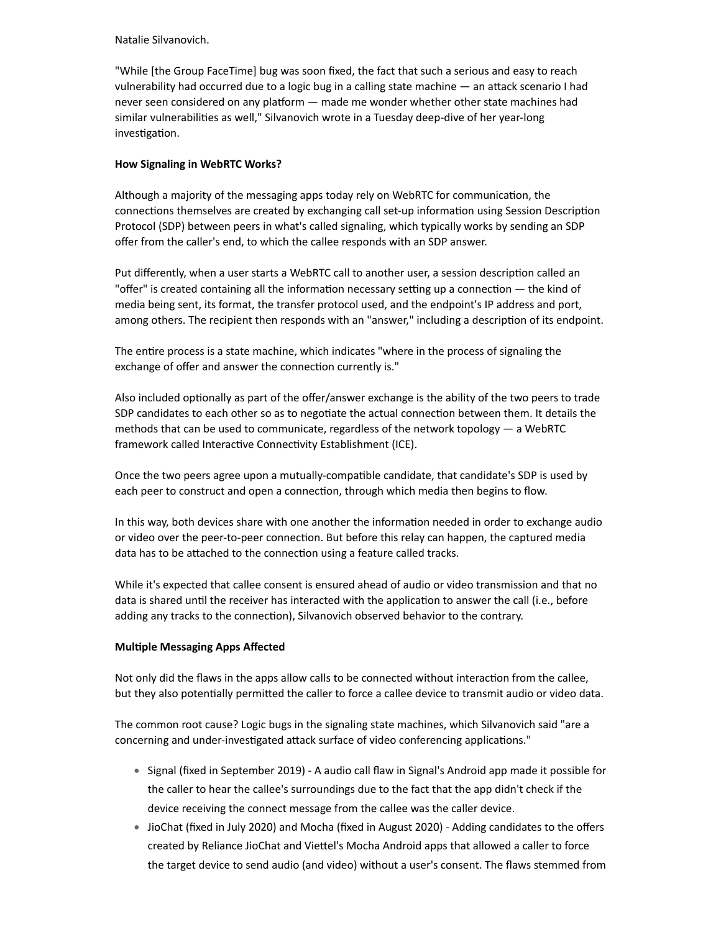Natalie Silvanovich.

"While [the Group FaceTime] bug was soon fixed, the fact that such a serious and easy to reach vulnerability had occurred due to a logic bug in a calling state machine  $-$  an attack scenario I had never seen considered on any platform — made me wonder whether other state machines had similar vulnerabilities as well," Silvanovich wrote in a Tuesday deep-dive of her year-long investigation.

#### **How Signaling in WebRTC Works?**

Although a majority of the messaging apps today rely on WebRTC for communication, the connections themselves are created by exchanging call set-up information using Session Description Protocol (SDP) between peers in what's called signaling, which typically works by sending an SDP offer from the caller's end, to which the callee responds with an SDP answer.

Put differently, when a user starts a WebRTC call to another user, a session description called an "offer" is created containing all the information necessary setting up a connection  $-$  the kind of media being sent, its format, the transfer protocol used, and the endpoint's IP address and port, among others. The recipient then responds with an "answer," including a description of its endpoint.

The entire process is a state machine, which indicates "where in the process of signaling the exchange of offer and answer the connection currently is."

Also included optionally as part of the offer/answer exchange is the ability of the two peers to trade SDP candidates to each other so as to negotiate the actual connection between them. It details the methods that can be used to communicate, regardless of the network topology  $-$  a WebRTC framework called Interactive Connectivity Establishment (ICE).

Once the two peers agree upon a mutually-compatible candidate, that candidate's SDP is used by each peer to construct and open a connection, through which media then begins to flow.

In this way, both devices share with one another the information needed in order to exchange audio or video over the peer-to-peer connection. But before this relay can happen, the captured media data has to be attached to the connection using a feature called tracks.

While it's expected that callee consent is ensured ahead of audio or video transmission and that no data is shared until the receiver has interacted with the application to answer the call (i.e., before adding any tracks to the connection), Silvanovich observed behavior to the contrary.

#### **Multiple Messaging Apps Affected**

Not only did the flaws in the apps allow calls to be connected without interaction from the callee, but they also potentially permitted the caller to force a callee device to transmit audio or video data.

The common root cause? Logic bugs in the signaling state machines, which Silvanovich said "are a concerning and under-investigated attack surface of video conferencing applications."

- Signal (fixed in September 2019) A audio call flaw in Signal's Android app made it possible for the caller to hear the callee's surroundings due to the fact that the app didn't check if the device receiving the connect message from the callee was the caller device.
- JioChat (fixed in July 2020) and Mocha (fixed in August 2020) Adding candidates to the offers created by Reliance JioChat and Viettel's Mocha Android apps that allowed a caller to force the target device to send audio (and video) without a user's consent. The flaws stemmed from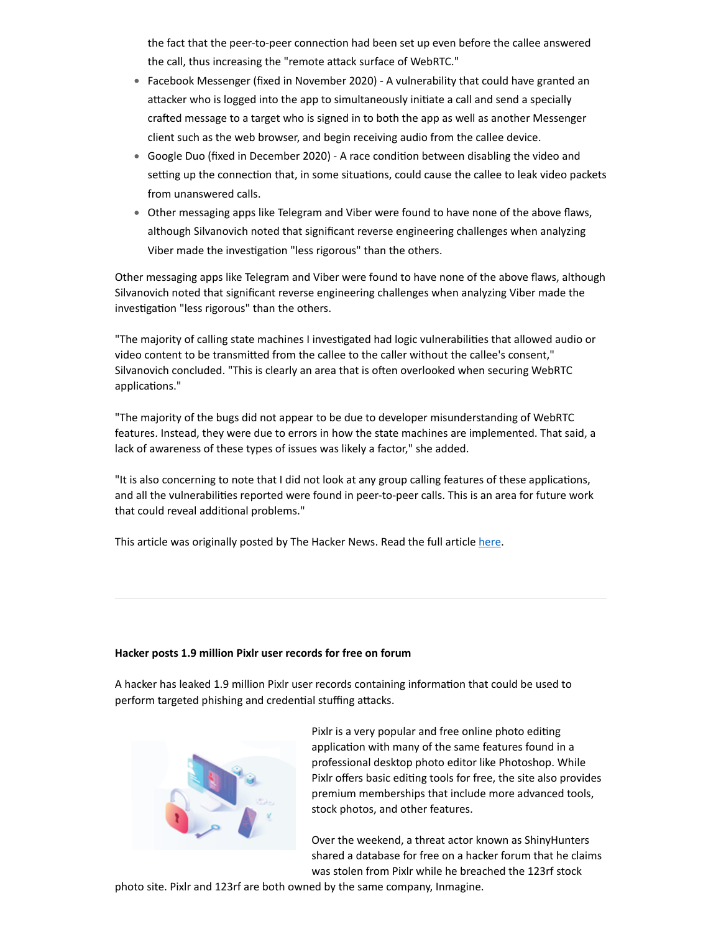the fact that the peer-to-peer connection had been set up even before the callee answered the call, thus increasing the "remote attack surface of WebRTC."

- Facebook Messenger (fixed in November 2020) A vulnerability that could have granted an attacker who is logged into the app to simultaneously initiate a call and send a specially crafted message to a target who is signed in to both the app as well as another Messenger client such as the web browser, and begin receiving audio from the callee device.
- Google Duo (fixed in December 2020) A race condition between disabling the video and setting up the connection that, in some situations, could cause the callee to leak video packets from unanswered calls.
- Other messaging apps like Telegram and Viber were found to have none of the above flaws, although Silvanovich noted that significant reverse engineering challenges when analyzing Viber made the investigation "less rigorous" than the others.

Other messaging apps like Telegram and Viber were found to have none of the above flaws, although Silvanovich noted that significant reverse engineering challenges when analyzing Viber made the investigation "less rigorous" than the others.

"The majority of calling state machines I investigated had logic vulnerabilities that allowed audio or video content to be transmitted from the callee to the caller without the callee's consent," Silvanovich concluded. "This is clearly an area that is often overlooked when securing WebRTC applications."

"The majority of the bugs did not appear to be due to developer misunderstanding of WebRTC features. Instead, they were due to errors in how the state machines are implemented. That said, a lack of awareness of these types of issues was likely a factor," she added.

"It is also concerning to note that I did not look at any group calling features of these applications, and all the vulnerabilities reported were found in peer-to-peer calls. This is an area for future work that could reveal additional problems."

This article was originally posted by The Hacker News. Read the full article [here.](https://thehackernews.com/2021/01/google-discloses-flaws-in-signal-fb.html?utm_source=feedburner&utm_medium=feed&utm_campaign=Feed%3A+TheHackersNews+%28The+Hackers+News+-+Cyber+Security+Blog%29)

#### **Hacker posts 1.9 million Pixlr user records for free on forum**

A hacker has leaked 1.9 million Pixlr user records containing information that could be used to perform targeted phishing and credential stuffing attacks.



Pixlr is a very popular and free online photo editing application with many of the same features found in a professional desktop photo editor like Photoshop. While Pixlr offers basic editing tools for free, the site also provides premium memberships that include more advanced tools, stock photos, and other features.

Over the weekend, a threat actor known as ShinyHunters shared a database for free on a hacker forum that he claims was stolen from Pixlr while he breached the 123rf stock

photo site. Pixlr and 123rf are both owned by the same company, Inmagine.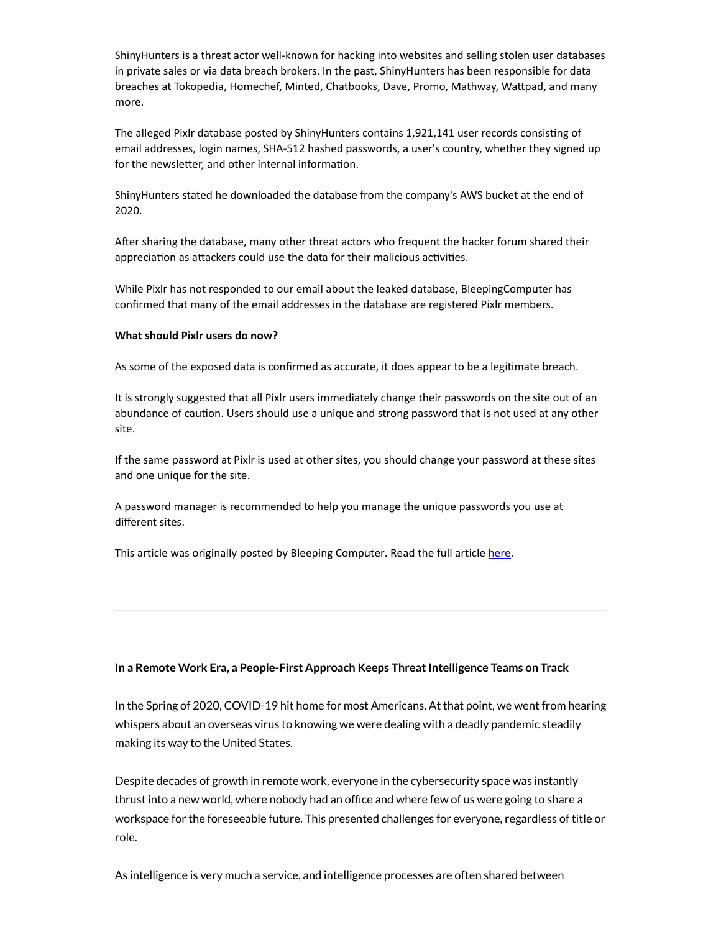ShinyHunters is a threat actor well-known for hacking into websites and selling stolen user databases in private sales or via data breach brokers. In the past, ShinyHunters has been responsible for data breaches at Tokopedia, Homechef, Minted, Chatbooks, Dave, Promo, Mathway, Wattpad, and many more.

The alleged Pixlr database posted by ShinyHunters contains 1,921,141 user records consisting of email addresses, login names, SHA-512 hashed passwords, a user's country, whether they signed up for the newsletter, and other internal information.

ShinyHunters stated he downloaded the database from the company's AWS bucket at the end of 2020.

After sharing the database, many other threat actors who frequent the hacker forum shared their appreciation as attackers could use the data for their malicious activities.

While Pixlr has not responded to our email about the leaked database, BleepingComputer has confirmed that many of the email addresses in the database are registered Pixlr members.

#### **What should Pixlr users do now?**

As some of the exposed data is confirmed as accurate, it does appear to be a legitimate breach.

It is strongly suggested that all Pixlr users immediately change their passwords on the site out of an abundance of caution. Users should use a unique and strong password that is not used at any other site.

If the same password at Pixlr is used at other sites, you should change your password at these sites and one unique for the site.

A password manager is recommended to help you manage the unique passwords you use at different sites.

This article was originally posted by Bleeping Computer. Read the full article [here.](https://www.bleepingcomputer.com/news/security/hacker-posts-19-million-pixlr-user-records-for-free-on-forum/)

#### **In a Remote Work Era, a People-First Approach Keeps ThreatIntelligence Teams on Track**

In the Spring of 2020, COVID-19 hit home for most Americans. At that point, we went from hearing whispers about an overseas virus to knowing we were dealing with a deadly pandemic steadily making its way to the United States.

Despite decades of growth in remote work, everyone in the cybersecurity space was instantly thrust into a new world, where nobody had an office and where few of us were going to share a workspace for the foreseeable future. This presented challenges for everyone, regardless of title or role.

As intelligence is very much a service, and intelligence processes are often shared between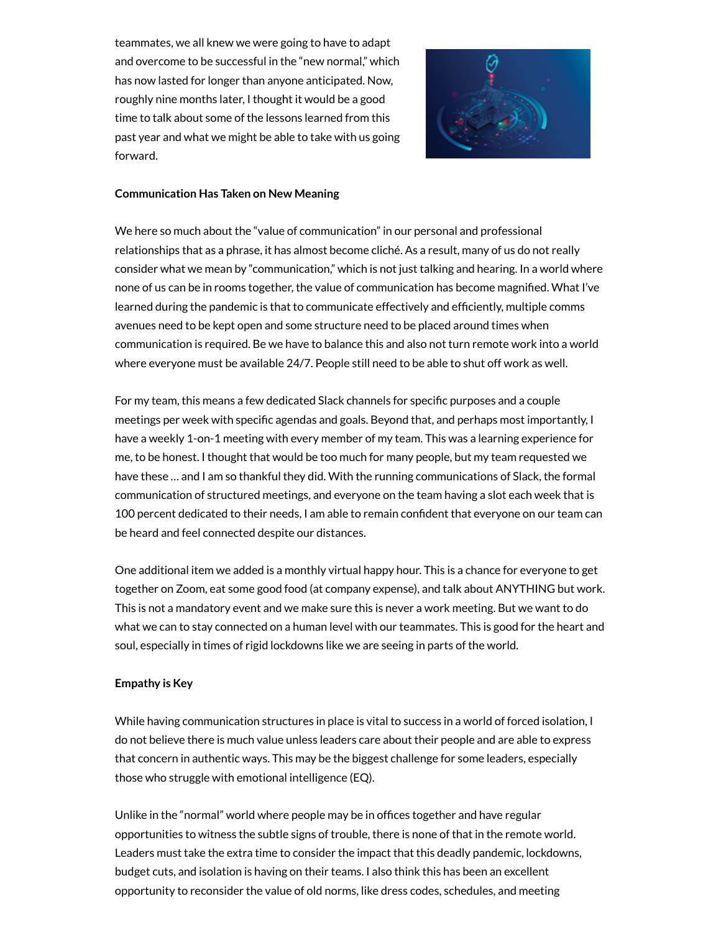teammates, we all knew we were going to have to adapt and overcome to be successful in the "new normal," which has now lasted for longer than anyone anticipated. Now, roughly nine months later, I thought it would be a good time to talk about some of the lessons learned from this past year and what we might be able to take with us going forward.



#### **Communication Has Taken on New Meaning**

We here so much about the "value of communication" in our personal and professional relationships that as a phrase, it has almost become cliché. As a result, many of us do not really consider what we mean by "communication," which is not just talking and hearing. In a world where none of us can be in rooms together, the value of communication has become magnified. What I've learned during the pandemic is that to communicate effectively and efficiently, multiple comms avenues need to be kept open and some structure need to be placed around times when communication is required. Be we have to balance this and also not turn remote work into a world where everyone must be available 24/7. People still need to be able to shut off work as well.

For my team, this means a few dedicated Slack channels for specific purposes and a couple meetings per week with specific agendas and goals. Beyond that, and perhaps most importantly, I have a weekly 1-on-1 meeting with every member of my team. This was a learning experience for me, to be honest. I thought that would be too much for many people, but my team requested we have these … and I am so thankful they did. With the running communications of Slack, the formal communication of structured meetings, and everyone on the team having a slot each week that is 100 percent dedicated to their needs, I am able to remain confident that everyone on our team can be heard and feel connected despite our distances.

One additional item we added is a monthly virtual happy hour. This is a chance for everyone to get together on Zoom, eat some good food (at company expense), and talk about ANYTHING but work. This is not a mandatory event and we make sure this is never a work meeting. But we want to do what we can to stay connected on a human level with our teammates. This is good for the heart and soul, especially in times of rigid lockdowns like we are seeing in parts of the world.

#### **Empathy is Key**

While having communication structures in place is vital to success in a world of forced isolation, I do not believe there is much value unless leaders care about their people and are able to express that concern in authentic ways. This may be the biggest challenge for some leaders, especially those who struggle with emotional intelligence (EQ).

Unlike in the "normal" world where people may be in offices together and have regular opportunities to witness the subtle signs of trouble, there is none of that in the remote world. Leaders must take the extra time to consider the impact that this deadly pandemic, lockdowns, budget cuts, and isolation is having on their teams. I also think this has been an excellent opportunity to reconsider the value of old norms, like dress codes, schedules, and meeting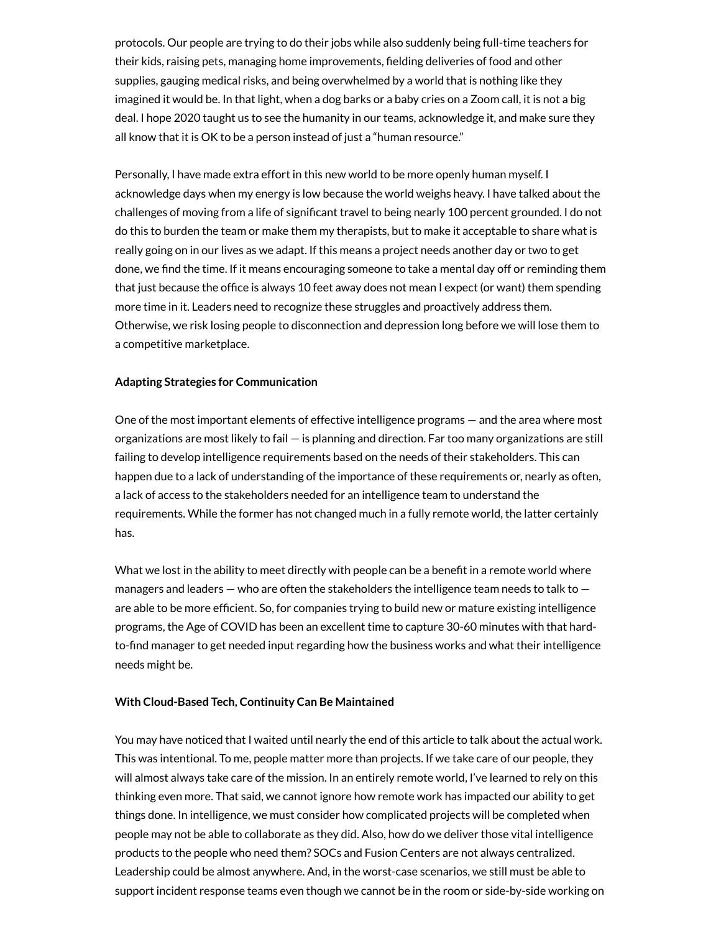protocols. Our people are trying to do their jobs while also suddenly being full-time teachers for their kids, raising pets, managing home improvements, fielding deliveries of food and other supplies, gauging medical risks, and being overwhelmed by a world that is nothing like they imagined it would be. In that light, when a dog barks or a baby cries on a Zoom call, it is not a big deal. I hope 2020 taught us to see the humanity in our teams, acknowledge it, and make sure they all know that it is OK to be a person instead of just a "human resource."

Personally, I have made extra effort in this new world to be more openly human myself. I acknowledge days when my energy is low because the world weighs heavy. I have talked about the challenges of moving from a life of significant travel to being nearly 100 percent grounded. I do not do this to burden the team or make them my therapists, but to make it acceptable to share what is really going on in our lives as we adapt. If this means a project needs another day or two to get done, we find the time. If it means encouraging someone to take a mental day off or reminding them that just because the office is always 10 feet away does not mean I expect (or want) them spending more time in it. Leaders need to recognize these struggles and proactively address them. Otherwise, we risk losing people to disconnection and depression long before we will lose them to a competitive marketplace.

#### **Adapting Strategies for Communication**

One of the most important elements of effective intelligence programs — and the area where most organizations are most likely to fail — is planning and direction. Far too many organizations are still failing to develop intelligence requirements based on the needs of their stakeholders. This can happen due to a lack of understanding of the importance of these requirements or, nearly as often, a lack of access to the stakeholders needed for an intelligence team to understand the requirements. While the former has not changed much in a fully remote world, the latter certainly has.

What we lost in the ability to meet directly with people can be a benefit in a remote world where managers and leaders  $-$  who are often the stakeholders the intelligence team needs to talk to  $$ are able to be more efficient. So, for companies trying to build new or mature existing intelligence programs, the Age of COVID has been an excellent time to capture 30-60 minutes with that hardto-find manager to get needed input regarding how the business works and what their intelligence needs might be.

#### **With Cloud-Based Tech, Continuity Can Be Maintained**

You may have noticed that I waited until nearly the end of this article to talk about the actual work. This was intentional. To me, people matter more than projects. If we take care of our people, they will almost always take care of the mission. In an entirely remote world, I've learned to rely on this thinking even more. That said, we cannot ignore how remote work has impacted our ability to get things done. In intelligence, we must consider how complicated projects will be completed when people may not be able to collaborate as they did. Also, how do we deliver those vital intelligence products to the people who need them? SOCs and Fusion Centers are not always centralized. Leadership could be almost anywhere. And, in the worst-case scenarios, we still must be able to support incident response teams even though we cannot be in the room or side-by-side working on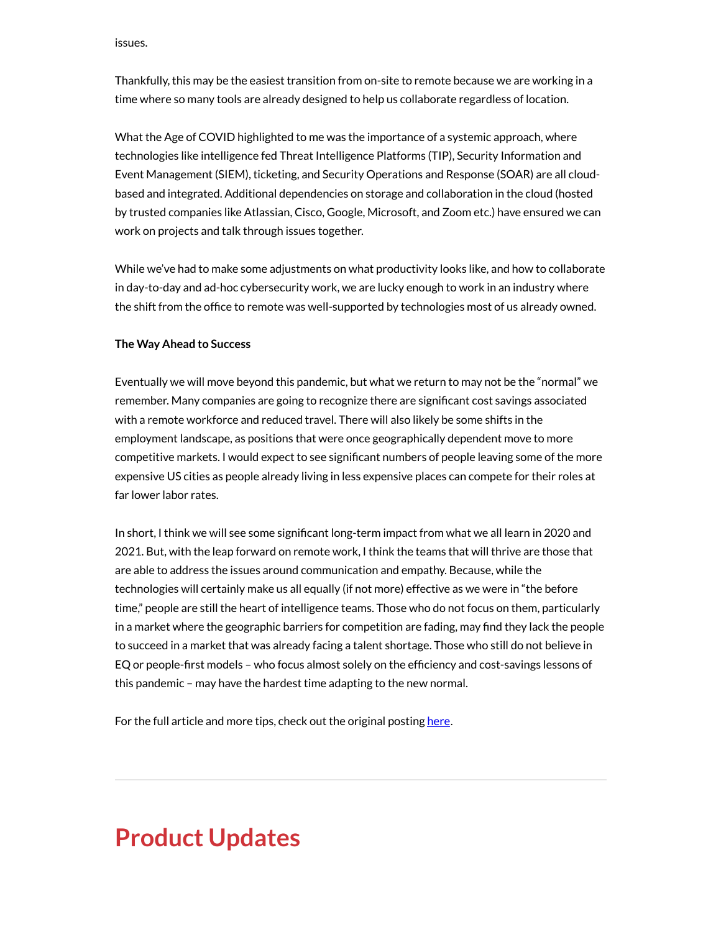issues.

Thankfully, this may be the easiest transition from on-site to remote because we are working in a time where so many tools are already designed to help us collaborate regardless of location.

What the Age of COVID highlighted to me was the importance of a systemic approach, where technologies like intelligence fed Threat Intelligence Platforms (TIP), Security Information and Event Management (SIEM), ticketing, and Security Operations and Response (SOAR) are all cloudbased and integrated. Additional dependencies on storage and collaboration in the cloud (hosted by trusted companies like Atlassian, Cisco, Google, Microsoft, and Zoom etc.) have ensured we can work on projects and talk through issues together.

While we've had to make some adjustments on what productivity looks like, and how to collaborate in day-to-day and ad-hoc cybersecurity work, we are lucky enough to work in an industry where the shift from the office to remote was well-supported by technologies most of us already owned.

#### **The Way Ahead to Success**

Eventually we will move beyond this pandemic, but what we return to may not be the "normal" we remember. Many companies are going to recognize there are significant cost savings associated with a remote workforce and reduced travel. There will also likely be some shifts in the employment landscape, as positions that were once geographically dependent move to more competitive markets. I would expect to see significant numbers of people leaving some of the more expensive US cities as people already living in less expensive places can compete for their roles at far lower labor rates.

In short, I think we will see some significant long-term impact from what we all learn in 2020 and 2021. But, with the leap forward on remote work, I think the teams that will thrive are those that are able to address the issues around communication and empathy. Because, while the technologies will certainly make us all equally (if not more) effective as we were in "the before time," people are still the heart of intelligence teams. Those who do not focus on them, particularly in a market where the geographic barriers for competition are fading, may find they lack the people to succeed in a market that was already facing a talent shortage. Those who still do not believe in EQ or people-first models – who focus almost solely on the efficiency and cost-savings lessons of this pandemic – may have the hardest time adapting to the new normal.

For the full article and more tips, check out the original posting [here](https://www.securityweek.com/remote-work-era-people-first-approach-keeps-threat-intelligence-teams-track?utm_source=feedburner&utm_medium=feed&utm_campaign=Feed%3A+Securityweek+%28SecurityWeek+RSS+Feed%29).

# **Product Updates**